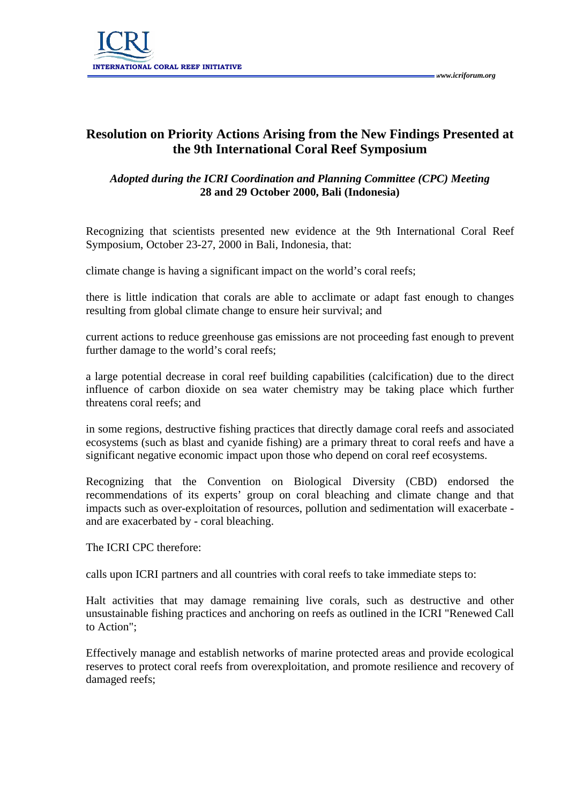

## **Resolution on Priority Actions Arising from the New Findings Presented at the 9th International Coral Reef Symposium**

## *Adopted during the ICRI Coordination and Planning Committee (CPC) Meeting*  **28 and 29 October 2000, Bali (Indonesia)**

Recognizing that scientists presented new evidence at the 9th International Coral Reef Symposium, October 23-27, 2000 in Bali, Indonesia, that:

climate change is having a significant impact on the world's coral reefs;

there is little indication that corals are able to acclimate or adapt fast enough to changes resulting from global climate change to ensure heir survival; and

current actions to reduce greenhouse gas emissions are not proceeding fast enough to prevent further damage to the world's coral reefs;

a large potential decrease in coral reef building capabilities (calcification) due to the direct influence of carbon dioxide on sea water chemistry may be taking place which further threatens coral reefs; and

in some regions, destructive fishing practices that directly damage coral reefs and associated ecosystems (such as blast and cyanide fishing) are a primary threat to coral reefs and have a significant negative economic impact upon those who depend on coral reef ecosystems.

Recognizing that the Convention on Biological Diversity (CBD) endorsed the recommendations of its experts' group on coral bleaching and climate change and that impacts such as over-exploitation of resources, pollution and sedimentation will exacerbate and are exacerbated by - coral bleaching.

The ICRI CPC therefore:

calls upon ICRI partners and all countries with coral reefs to take immediate steps to:

Halt activities that may damage remaining live corals, such as destructive and other unsustainable fishing practices and anchoring on reefs as outlined in the ICRI "Renewed Call to Action";

Effectively manage and establish networks of marine protected areas and provide ecological reserves to protect coral reefs from overexploitation, and promote resilience and recovery of damaged reefs;